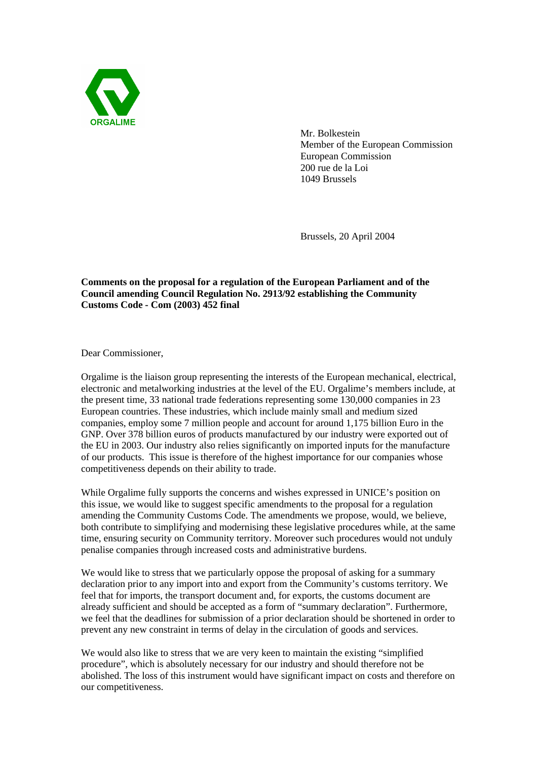

Mr. Bolkestein Member of the European Commission European Commission 200 rue de la Loi 1049 Brussels

Brussels, 20 April 2004

**Comments on the proposal for a regulation of the European Parliament and of the Council amending Council Regulation No. 2913/92 establishing the Community Customs Code - Com (2003) 452 final**

Dear Commissioner,

Orgalime is the liaison group representing the interests of the European mechanical, electrical, electronic and metalworking industries at the level of the EU. Orgalime's members include, at the present time, 33 national trade federations representing some 130,000 companies in 23 European countries. These industries, which include mainly small and medium sized companies, employ some 7 million people and account for around 1,175 billion Euro in the GNP. Over 378 billion euros of products manufactured by our industry were exported out of the EU in 2003. Our industry also relies significantly on imported inputs for the manufacture of our products. This issue is therefore of the highest importance for our companies whose competitiveness depends on their ability to trade.

While Orgalime fully supports the concerns and wishes expressed in UNICE's position on this issue, we would like to suggest specific amendments to the proposal for a regulation amending the Community Customs Code. The amendments we propose, would, we believe, both contribute to simplifying and modernising these legislative procedures while, at the same time, ensuring security on Community territory. Moreover such procedures would not unduly penalise companies through increased costs and administrative burdens.

We would like to stress that we particularly oppose the proposal of asking for a summary declaration prior to any import into and export from the Community's customs territory. We feel that for imports, the transport document and, for exports, the customs document are already sufficient and should be accepted as a form of "summary declaration". Furthermore, we feel that the deadlines for submission of a prior declaration should be shortened in order to prevent any new constraint in terms of delay in the circulation of goods and services.

We would also like to stress that we are very keen to maintain the existing "simplified procedure", which is absolutely necessary for our industry and should therefore not be abolished. The loss of this instrument would have significant impact on costs and therefore on our competitiveness.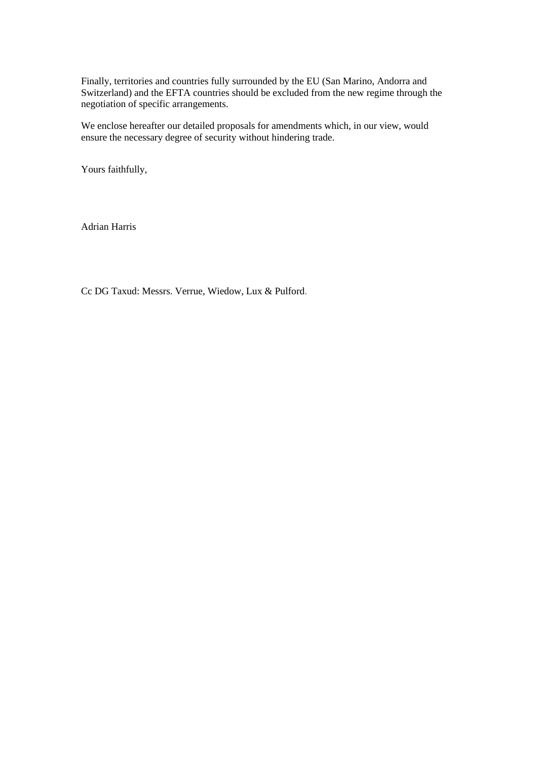Finally, territories and countries fully surrounded by the EU (San Marino, Andorra and Switzerland) and the EFTA countries should be excluded from the new regime through the negotiation of specific arrangements.

We enclose hereafter our detailed proposals for amendments which, in our view, would ensure the necessary degree of security without hindering trade.

Yours faithfully,

Adrian Harris

Cc DG Taxud: Messrs. Verrue, Wiedow, Lux & Pulford.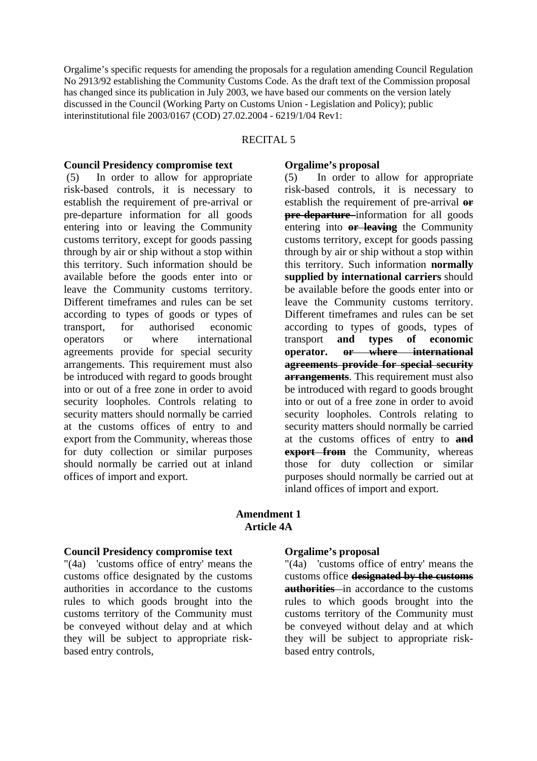Orgalime's specific requests for amending the proposals for a regulation amending Council Regulation No 2913/92 establishing the Community Customs Code. As the draft text of the Commission proposal has changed since its publication in July 2003, we have based our comments on the version lately discussed in the Council (Working Party on Customs Union - Legislation and Policy); public interinstitutional file 2003/0167 (COD) 27.02.2004 - 6219/1/04 Rev1:

#### RECITAL 5

#### **Council Presidency compromise text**

 (5) In order to allow for appropriate risk-based controls, it is necessary to establish the requirement of pre-arrival or pre-departure information for all goods entering into or leaving the Community customs territory, except for goods passing through by air or ship without a stop within this territory. Such information should be available before the goods enter into or leave the Community customs territory. Different timeframes and rules can be set according to types of goods or types of transport, for authorised economic operators or where international agreements provide for special security arrangements. This requirement must also be introduced with regard to goods brought into or out of a free zone in order to avoid security loopholes. Controls relating to security matters should normally be carried at the customs offices of entry to and export from the Community, whereas those for duty collection or similar purposes should normally be carried out at inland offices of import and export.

#### **Orgalime's proposal**

(5) In order to allow for appropriate risk-based controls, it is necessary to establish the requirement of pre-arrival **or pre-departure** information for all goods entering into **or leaving** the Community customs territory, except for goods passing through by air or ship without a stop within this territory. Such information **normally supplied by international carriers** should be available before the goods enter into or leave the Community customs territory. Different timeframes and rules can be set according to types of goods, types of transport **and types of economic operator. or where international agreements provide for special security arrangements**. This requirement must also be introduced with regard to goods brought into or out of a free zone in order to avoid security loopholes. Controls relating to security matters should normally be carried at the customs offices of entry to **and export from** the Community, whereas those for duty collection or similar purposes should normally be carried out at inland offices of import and export.

### **Amendment 1 Article 4A**

#### **Council Presidency compromise text**

"(4a) 'customs office of entry' means the customs office designated by the customs authorities in accordance to the customs rules to which goods brought into the customs territory of the Community must be conveyed without delay and at which they will be subject to appropriate riskbased entry controls,

#### **Orgalime's proposal**

"(4a) 'customs office of entry' means the customs office **designated by the customs authorities** in accordance to the customs rules to which goods brought into the customs territory of the Community must be conveyed without delay and at which they will be subject to appropriate riskbased entry controls,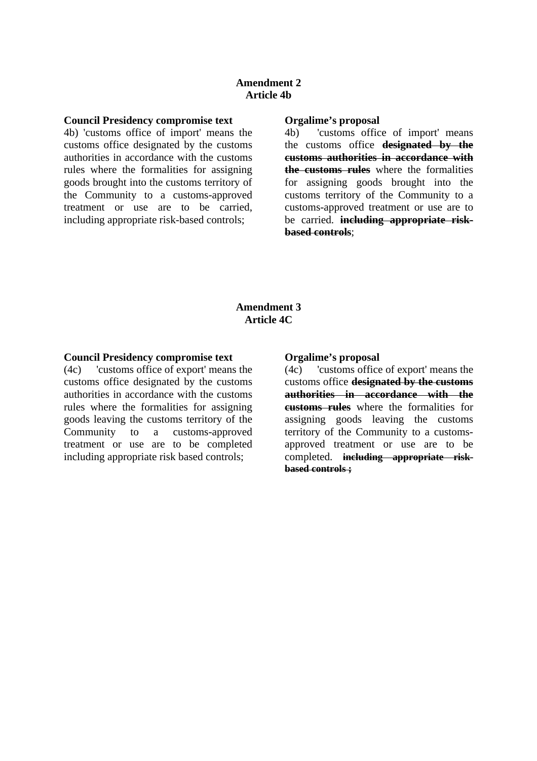#### **Amendment 2 Article 4b**

#### **Council Presidency compromise text**

4b) 'customs office of import' means the customs office designated by the customs authorities in accordance with the customs rules where the formalities for assigning goods brought into the customs territory of the Community to a customs-approved treatment or use are to be carried, including appropriate risk-based controls;

#### **Orgalime's proposal**

4b) 'customs office of import' means the customs office **designated by the customs authorities in accordance with the customs rules** where the formalities for assigning goods brought into the customs territory of the Community to a customs-approved treatment or use are to be carried. **including appropriate riskbased controls**;

### **Amendment 3 Article 4C**

#### **Council Presidency compromise text**

(4c) 'customs office of export' means the customs office designated by the customs authorities in accordance with the customs rules where the formalities for assigning goods leaving the customs territory of the Community to a customs-approved treatment or use are to be completed including appropriate risk based controls;

#### **Orgalime's proposal**

(4c) 'customs office of export' means the customs office **designated by the customs authorities in accordance with the customs rules** where the formalities for assigning goods leaving the customs territory of the Community to a customsapproved treatment or use are to be completed. **including appropriate riskbased controls ;**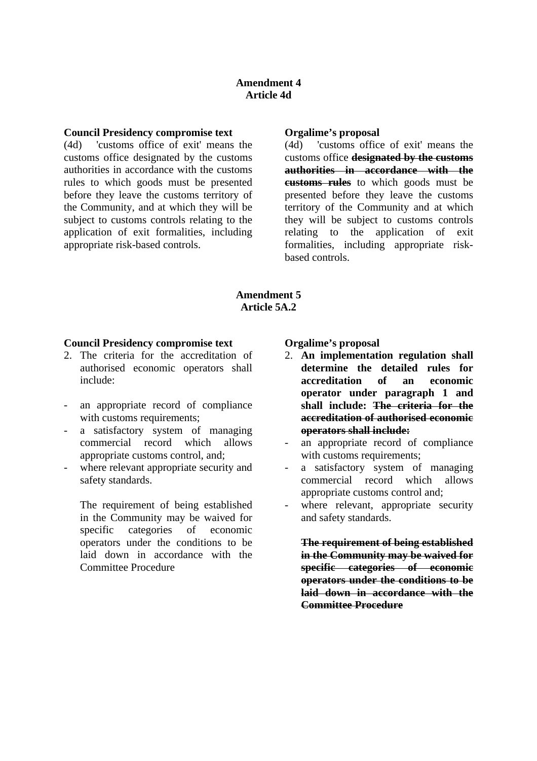#### **Council Presidency compromise text**

(4d) 'customs office of exit' means the customs office designated by the customs authorities in accordance with the customs rules to which goods must be presented before they leave the customs territory of the Community, and at which they will be subject to customs controls relating to the application of exit formalities, including appropriate risk-based controls.

#### **Orgalime's proposal**

(4d) 'customs office of exit' means the customs office **designated by the customs authorities in accordance with the customs rules** to which goods must be presented before they leave the customs territory of the Community and at which they will be subject to customs controls relating to the application of exit formalities, including appropriate riskbased controls.

# **Amendment 5 Article 5A.2**

#### **Council Presidency compromise text**

- 2. The criteria for the accreditation of authorised economic operators shall include:
- an appropriate record of compliance with customs requirements;
- a satisfactory system of managing commercial record which allows appropriate customs control, and;
- where relevant appropriate security and safety standards.

The requirement of being established in the Community may be waived for specific categories of economic operators under the conditions to be laid down in accordance with the Committee Procedure

#### **Orgalime's proposal**

- 2. **An implementation regulation shall determine the detailed rules for accreditation of an economic operator under paragraph 1 and shall include: The criteria for the accreditation of authorised economic operators shall include:**
- an appropriate record of compliance with customs requirements;
- a satisfactory system of managing commercial record which allows appropriate customs control and;
- where relevant, appropriate security and safety standards.

**The requirement of being established in the Community may be waived for specific categories of economic operators under the conditions to be laid down in accordance with the Committee Procedure**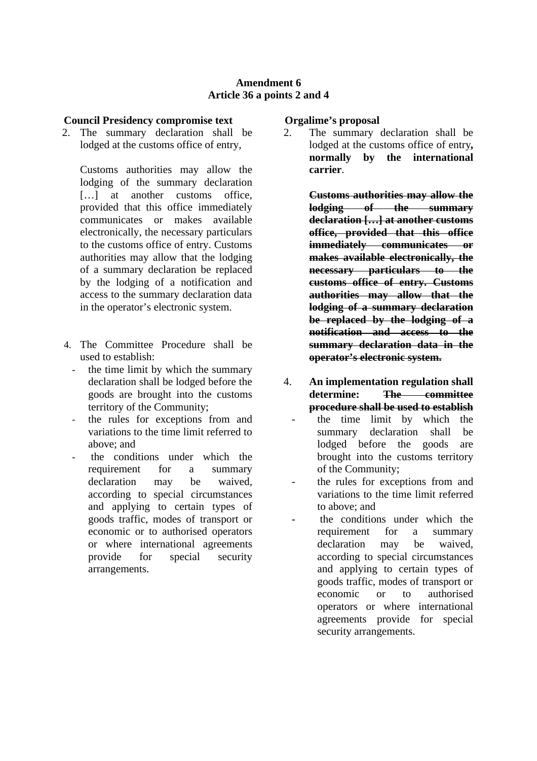### **Amendment 6 Article 36 a points 2 and 4**

## **Council Presidency compromise text**

2. The summary declaration shall be lodged at the customs office of entry,

Customs authorities may allow the lodging of the summary declaration [...] at another customs office, provided that this office immediately communicates or makes available electronically, the necessary particulars to the customs office of entry. Customs authorities may allow that the lodging of a summary declaration be replaced by the lodging of a notification and access to the summary declaration data in the operator's electronic system.

- 4. The Committee Procedure shall be used to establish:
	- the time limit by which the summary declaration shall be lodged before the goods are brought into the customs territory of the Community;
	- the rules for exceptions from and variations to the time limit referred to above; and
	- the conditions under which the requirement for a summary declaration may be waived, according to special circumstances and applying to certain types of goods traffic, modes of transport or economic or to authorised operators or where international agreements provide for special security arrangements.

### **Orgalime's proposal**

2. The summary declaration shall be lodged at the customs office of entry**, normally by the international carrier**.

> **Customs authorities may allow the lodging of the summary declaration […] at another customs office, provided that this office immediately communicates or makes available electronically, the necessary particulars to the customs office of entry. Customs authorities may allow that the lodging of a summary declaration be replaced by the lodging of a notification and access to the summary declaration data in the operator's electronic system.**

- 4. **An implementation regulation shall determine: The committee procedure shall be used to establish** the time limit by which the summary declaration shall be lodged before the goods are brought into the customs territory of the Community;
	- the rules for exceptions from and variations to the time limit referred to above; and
	- the conditions under which the requirement for a summary declaration may be waived, according to special circumstances and applying to certain types of goods traffic, modes of transport or economic or to authorised operators or where international agreements provide for special security arrangements.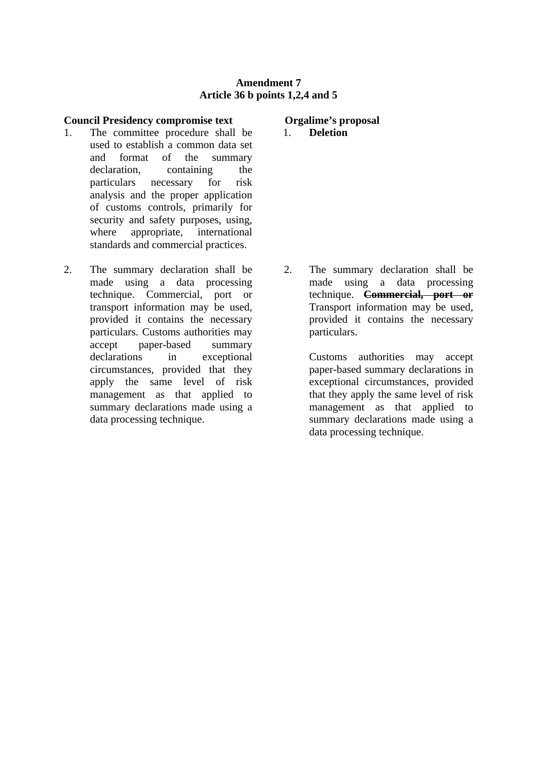### **Amendment 7 Article 36 b points 1,2,4 and 5**

### **Council Presidency compromise text**

- 1. The committee procedure shall be used to establish a common data set and format of the summary declaration, containing the particulars necessary for risk analysis and the proper application of customs controls, primarily for security and safety purposes, using, where appropriate, international standards and commercial practices.
- 2. The summary declaration shall be made using a data processing technique. Commercial, port or transport information may be used, provided it contains the necessary particulars. Customs authorities may accept paper-based summary declarations in exceptional circumstances, provided that they apply the same level of risk management as that applied to summary declarations made using a data processing technique.

**Orgalime's proposal**

1. **Deletion** 

2. The summary declaration shall be made using a data processing technique. **Commercial, port or** Transport information may be used, provided it contains the necessary particulars.

> Customs authorities may accept paper-based summary declarations in exceptional circumstances, provided that they apply the same level of risk management as that applied to summary declarations made using a data processing technique.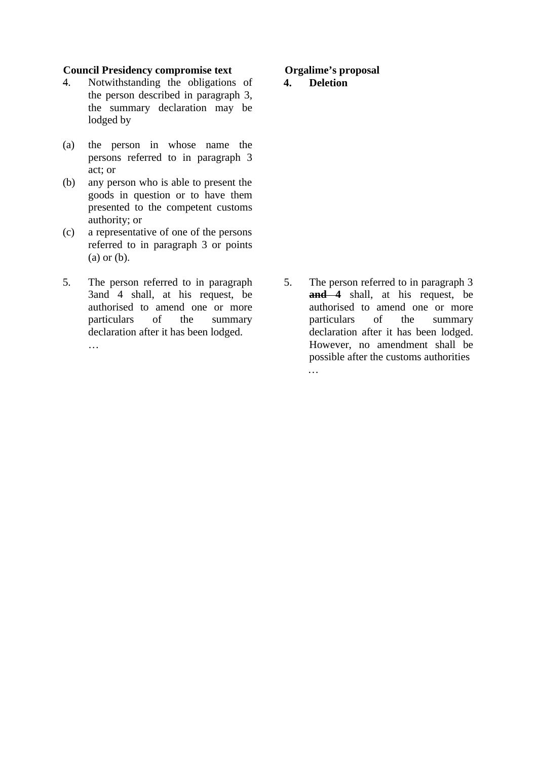## **Council Presidency compromise text**

- 4. Notwithstanding the obligations of the person described in paragraph 3, the summary declaration may be lodged by
- (a) the person in whose name the persons referred to in paragraph 3 act; or
- (b) any person who is able to present the goods in question or to have them presented to the competent customs authority; or
- (c) a representative of one of the persons referred to in paragraph 3 or points (a) or (b).
- 5. The person referred to in paragraph 3and 4 shall, at his request, be authorised to amend one or more particulars of the summary declaration after it has been lodged.

…

## **Orgalime's proposal**

# **4. Deletion**

5. The person referred to in paragraph 3 **and 4** shall, at his request, be authorised to amend one or more particulars of the summary declaration after it has been lodged. However, no amendment shall be possible after the customs authorities …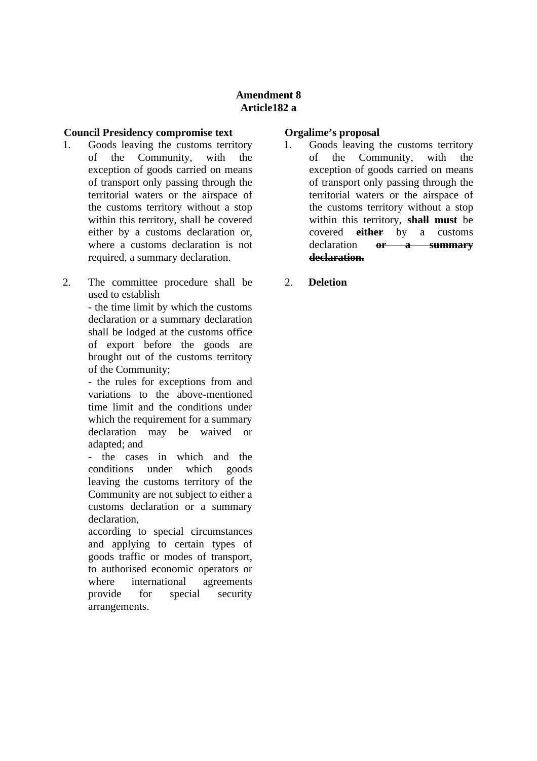# **Amendment 8 Article182 a**

## **Council Presidency compromise text**

- 1. Goods leaving the customs territory of the Community, with the exception of goods carried on means of transport only passing through the territorial waters or the airspace of the customs territory without a stop within this territory, shall be covered either by a customs declaration or, where a customs declaration is not required, a summary declaration.
- 2. The committee procedure shall be used to establish

- the time limit by which the customs declaration or a summary declaration shall be lodged at the customs office of export before the goods are brought out of the customs territory of the Community;

- the rules for exceptions from and variations to the above-mentioned time limit and the conditions under which the requirement for a summary declaration may be waived or adapted; and

- the cases in which and the conditions under which goods leaving the customs territory of the Community are not subject to either a customs declaration or a summary declaration,

according to special circumstances and applying to certain types of goods traffic or modes of transport, to authorised economic operators or where international agreements provide for special security arrangements.

# **Orgalime's proposal**

- 1. Goods leaving the customs territory of the Community, with the exception of goods carried on means of transport only passing through the territorial waters or the airspace of the customs territory without a stop within this territory, **shall must** be covered **either** by a customs declaration **or a summary declaration.**
- 2. **Deletion**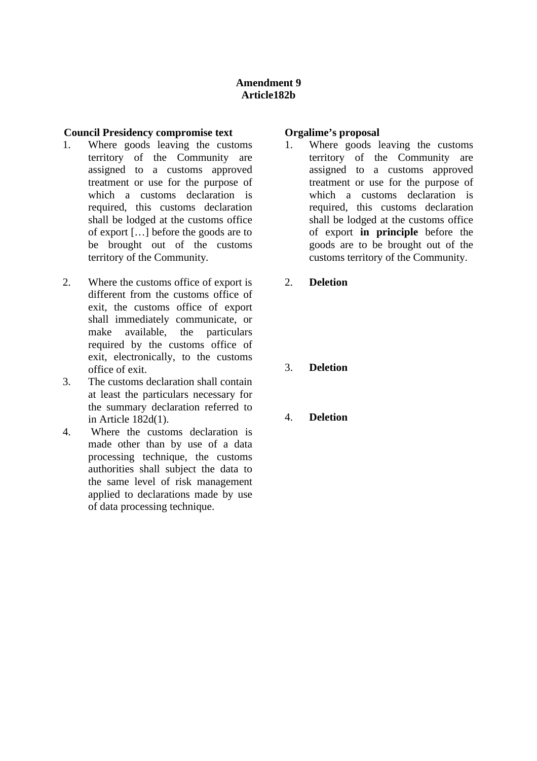# **Amendment 9 Article182b**

## **Council Presidency compromise text**

- 1. Where goods leaving the customs territory of the Community are assigned to a customs approved treatment or use for the purpose of which a customs declaration is required, this customs declaration shall be lodged at the customs office of export […] before the goods are to be brought out of the customs territory of the Community.
- 2. Where the customs office of export is different from the customs office of exit, the customs office of export shall immediately communicate, or make available, the particulars required by the customs office of exit, electronically, to the customs office of exit.
- 3. The customs declaration shall contain at least the particulars necessary for the summary declaration referred to in Article 182d(1).
- 4. Where the customs declaration is made other than by use of a data processing technique, the customs authorities shall subject the data to the same level of risk management applied to declarations made by use of data processing technique.

### **Orgalime's proposal**

- 1. Where goods leaving the customs territory of the Community are assigned to a customs approved treatment or use for the purpose of which a customs declaration is required, this customs declaration shall be lodged at the customs office of export **in principle** before the goods are to be brought out of the customs territory of the Community.
- 2. **Deletion**
- 3. **Deletion**
- 4. **Deletion**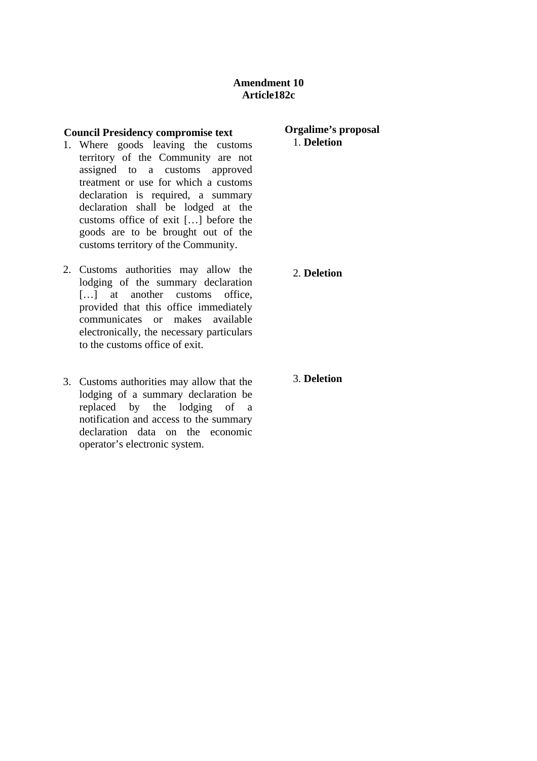#### **Council Presidency compromise text**

- 1. Where goods leaving the customs territory of the Community are not assigned to a customs approved treatment or use for which a customs declaration is required, a summary declaration shall be lodged at the customs office of exit […] before the goods are to be brought out of the customs territory of the Community.
- 2. Customs authorities may allow the lodging of the summary declaration [...] at another customs office, provided that this office immediately communicates or makes available electronically, the necessary particulars to the customs office of exit.
- 3. Customs authorities may allow that the lodging of a summary declaration be replaced by the lodging of a notification and access to the summary declaration data on the economic operator's electronic system.

### **Orgalime's proposal** 1. **Deletion**

2. **Deletion** 

3. **Deletion**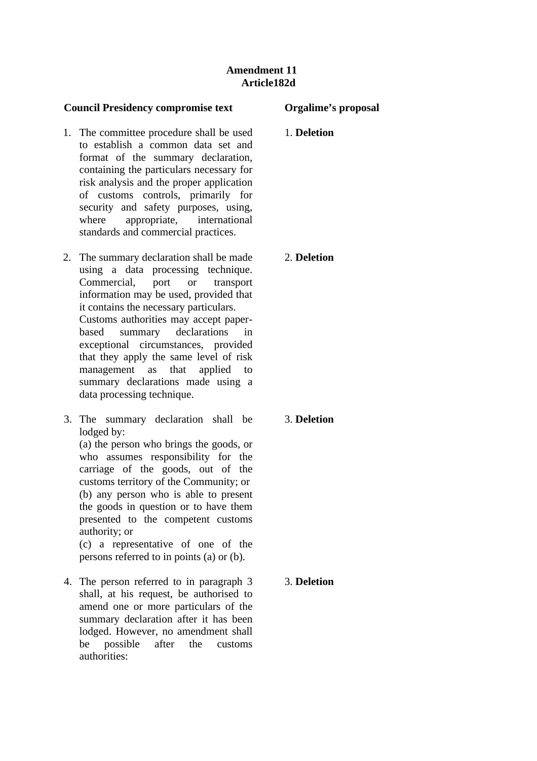# **Amendment 11 Article182d**

## **Council Presidency compromise text**

- 1. The committee procedure shall be used to establish a common data set and format of the summary declaration, containing the particulars necessary for risk analysis and the proper application of customs controls, primarily for security and safety purposes, using, where appropriate, international standards and commercial practices.
- 2. The summary declaration shall be made using a data processing technique. Commercial, port or transport information may be used, provided that it contains the necessary particulars. Customs authorities may accept paperbased summary declarations in exceptional circumstances, provided that they apply the same level of risk management as that applied to summary declarations made using a data processing technique.
- 3. The summary declaration shall be lodged by:

(a) the person who brings the goods, or who assumes responsibility for the carriage of the goods, out of the customs territory of the Community; or (b) any person who is able to present the goods in question or to have them presented to the competent customs authority; or

(c) a representative of one of the persons referred to in points (a) or (b).

4. The person referred to in paragraph 3 shall, at his request, be authorised to amend one or more particulars of the summary declaration after it has been lodged. However, no amendment shall be possible after the customs authorities:

# **Orgalime's proposal**

1. **Deletion**

# 2. **Deletion**

3. **Deletion**

3. **Deletion**